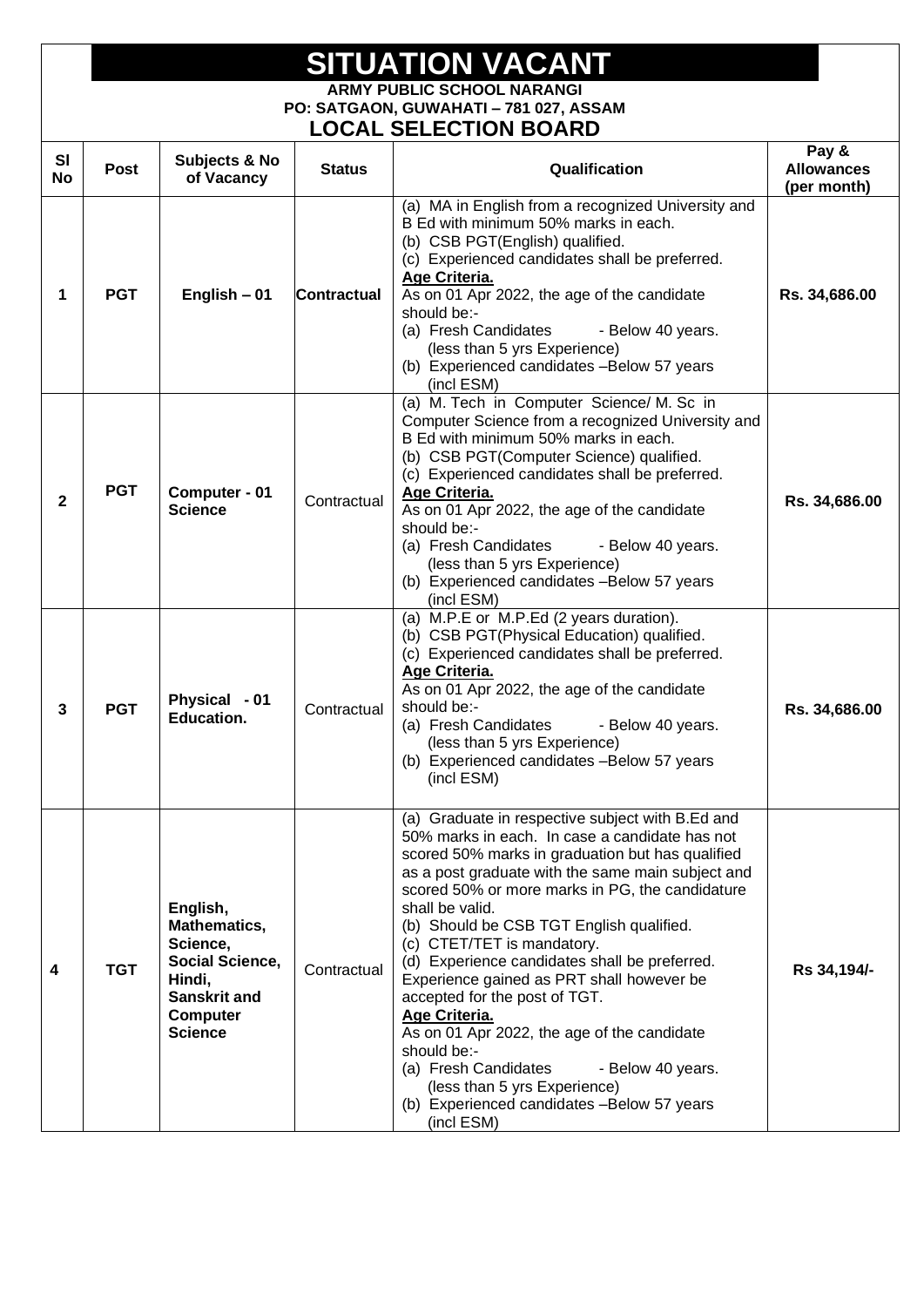## **SITUATION VACANT ARMY PUBLIC SCHOOL NARANGI PO: SATGAON, GUWAHATI – 781 027, ASSAM**

## **LOCAL SELECTION BOARD**

| SI<br>No     | <b>Post</b> | Subjects & No<br>of Vacancy                                                                                                   | <b>Status</b> | Qualification                                                                                                                                                                                                                                                                                                                                                                                                                                                                                                                                                                                                                                                                                                       | Pay &<br><b>Allowances</b><br>(per month) |
|--------------|-------------|-------------------------------------------------------------------------------------------------------------------------------|---------------|---------------------------------------------------------------------------------------------------------------------------------------------------------------------------------------------------------------------------------------------------------------------------------------------------------------------------------------------------------------------------------------------------------------------------------------------------------------------------------------------------------------------------------------------------------------------------------------------------------------------------------------------------------------------------------------------------------------------|-------------------------------------------|
| 1            | <b>PGT</b>  | English - 01                                                                                                                  | Contractual   | (a) MA in English from a recognized University and<br>B Ed with minimum 50% marks in each.<br>(b) CSB PGT(English) qualified.<br>(c) Experienced candidates shall be preferred.<br>Age Criteria.<br>As on 01 Apr 2022, the age of the candidate<br>should be:-<br>(a) Fresh Candidates<br>- Below 40 years.<br>(less than 5 yrs Experience)<br>(b) Experienced candidates - Below 57 years<br>(incl ESM)                                                                                                                                                                                                                                                                                                            | Rs. 34,686.00                             |
| $\mathbf{2}$ | <b>PGT</b>  | Computer - 01<br><b>Science</b>                                                                                               | Contractual   | (a) M. Tech in Computer Science/ M. Sc in<br>Computer Science from a recognized University and<br>B Ed with minimum 50% marks in each.<br>(b) CSB PGT(Computer Science) qualified.<br>(c) Experienced candidates shall be preferred.<br>Age Criteria.<br>As on 01 Apr 2022, the age of the candidate<br>should be:-<br>(a) Fresh Candidates<br>- Below 40 years.<br>(less than 5 yrs Experience)<br>(b) Experienced candidates - Below 57 years<br>(incl ESM)                                                                                                                                                                                                                                                       | Rs. 34,686.00                             |
| 3            | <b>PGT</b>  | Physical - 01<br>Education.                                                                                                   | Contractual   | (a) M.P.E or M.P.Ed (2 years duration).<br>(b) CSB PGT(Physical Education) qualified.<br>(c) Experienced candidates shall be preferred.<br>Age Criteria.<br>As on 01 Apr 2022, the age of the candidate<br>should be:-<br>(a) Fresh Candidates<br>- Below 40 years.<br>(less than 5 yrs Experience)<br>(b) Experienced candidates - Below 57 years<br>(incl ESM)                                                                                                                                                                                                                                                                                                                                                    | Rs. 34,686.00                             |
| 4            | <b>TGT</b>  | English,<br>Mathematics,<br>Science,<br>Social Science,<br>Hindi,<br><b>Sanskrit and</b><br><b>Computer</b><br><b>Science</b> | Contractual   | (a) Graduate in respective subject with B.Ed and<br>50% marks in each. In case a candidate has not<br>scored 50% marks in graduation but has qualified<br>as a post graduate with the same main subject and<br>scored 50% or more marks in PG, the candidature<br>shall be valid.<br>(b) Should be CSB TGT English qualified.<br>(c) CTET/TET is mandatory.<br>(d) Experience candidates shall be preferred.<br>Experience gained as PRT shall however be<br>accepted for the post of TGT.<br>Age Criteria.<br>As on 01 Apr 2022, the age of the candidate<br>should be:-<br>(a) Fresh Candidates<br>- Below 40 years.<br>(less than 5 yrs Experience)<br>(b) Experienced candidates - Below 57 years<br>(incl ESM) | Rs 34,194/-                               |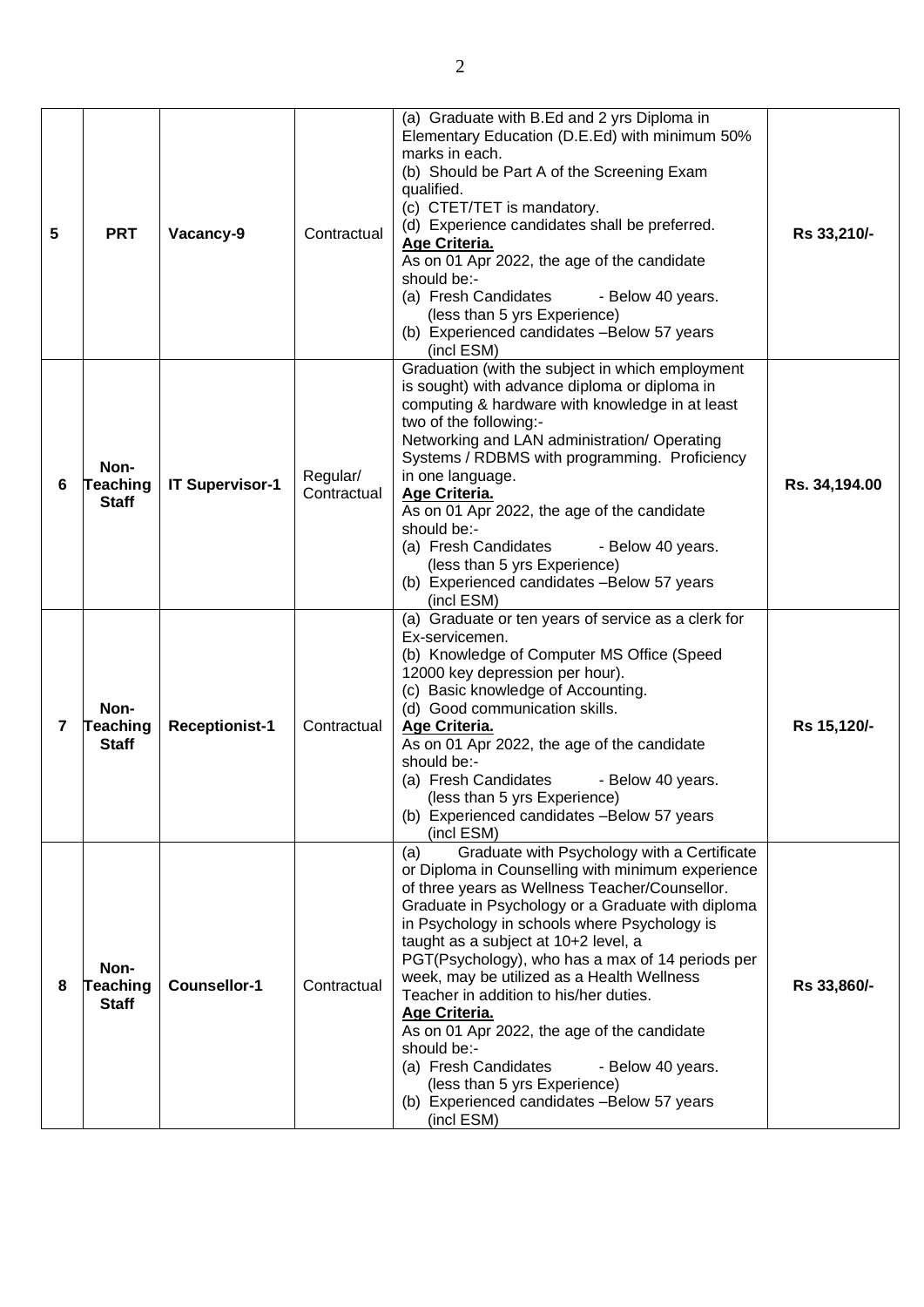| 5 | <b>PRT</b>                              | Vacancy-9              | Contractual             | (a) Graduate with B.Ed and 2 yrs Diploma in<br>Elementary Education (D.E.Ed) with minimum 50%<br>marks in each.<br>(b) Should be Part A of the Screening Exam<br>qualified.<br>(c) CTET/TET is mandatory.<br>(d) Experience candidates shall be preferred.<br>Age Criteria.<br>As on 01 Apr 2022, the age of the candidate<br>should be:-<br>(a) Fresh Candidates<br>- Below 40 years.<br>(less than 5 yrs Experience)<br>(b) Experienced candidates -Below 57 years<br>(incl ESM)                                                                                                                                                                                          | Rs 33,210/-   |
|---|-----------------------------------------|------------------------|-------------------------|-----------------------------------------------------------------------------------------------------------------------------------------------------------------------------------------------------------------------------------------------------------------------------------------------------------------------------------------------------------------------------------------------------------------------------------------------------------------------------------------------------------------------------------------------------------------------------------------------------------------------------------------------------------------------------|---------------|
| 6 | Non-<br><b>Teaching</b><br><b>Staff</b> | <b>IT Supervisor-1</b> | Regular/<br>Contractual | Graduation (with the subject in which employment<br>is sought) with advance diploma or diploma in<br>computing & hardware with knowledge in at least<br>two of the following:-<br>Networking and LAN administration/ Operating<br>Systems / RDBMS with programming. Proficiency<br>in one language.<br>Age Criteria.<br>As on 01 Apr 2022, the age of the candidate<br>should be:-<br>(a) Fresh Candidates<br>- Below 40 years.<br>(less than 5 yrs Experience)<br>(b) Experienced candidates - Below 57 years<br>(incl ESM)                                                                                                                                                | Rs. 34,194.00 |
| 7 | Non-<br><b>Teaching</b><br><b>Staff</b> | <b>Receptionist-1</b>  | Contractual             | (a) Graduate or ten years of service as a clerk for<br>Ex-servicemen.<br>(b) Knowledge of Computer MS Office (Speed<br>12000 key depression per hour).<br>(c) Basic knowledge of Accounting.<br>(d) Good communication skills.<br>Age Criteria.<br>As on 01 Apr 2022, the age of the candidate<br>should be:-<br>(a) Fresh Candidates<br>- Below 40 years.<br>(less than 5 yrs Experience)<br>(b) Experienced candidates - Below 57 years<br>(incl ESM)                                                                                                                                                                                                                     | Rs 15,120/-   |
| 8 | Non-<br><b>Teaching</b><br><b>Staff</b> | <b>Counsellor-1</b>    | Contractual             | Graduate with Psychology with a Certificate<br>(a)<br>or Diploma in Counselling with minimum experience<br>of three years as Wellness Teacher/Counsellor.<br>Graduate in Psychology or a Graduate with diploma<br>in Psychology in schools where Psychology is<br>taught as a subject at 10+2 level, a<br>PGT(Psychology), who has a max of 14 periods per<br>week, may be utilized as a Health Wellness<br>Teacher in addition to his/her duties.<br>Age Criteria.<br>As on 01 Apr 2022, the age of the candidate<br>should be:-<br>(a) Fresh Candidates<br>- Below 40 years.<br>(less than 5 yrs Experience)<br>(b) Experienced candidates - Below 57 years<br>(incl ESM) | Rs 33,860/-   |